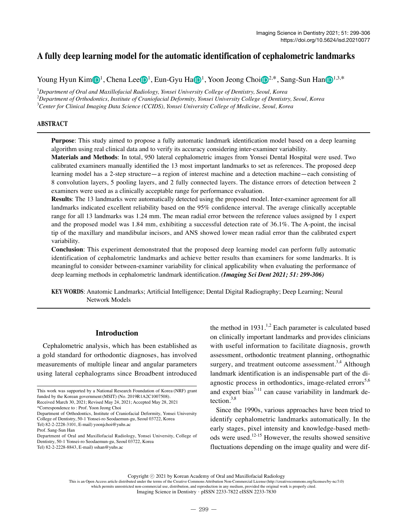# **A fully deep learning model for the automatic identification of cephalometric landmarks**

Young Hyun Ki[m](https://orcid.org/0000-0001-6541-3293) $\bigcirc \mathbb{D}^1$  $\bigcirc \mathbb{D}^1$  $\bigcirc \mathbb{D}^1$ , Ch[e](https://orcid.org/0000-0002-8943-4192)[n](https://orcid.org/0000-0003-1775-7862)a Lee $\bigcirc \mathbb{D}^1$  $\bigcirc \mathbb{D}^1$  $\bigcirc \mathbb{D}^1$ , Eun-Gyu Ha $\bigcirc \mathbb{D}^1$ , Yoon Jeong Choi $\bigcirc \mathbb{D}^{2,*}$ , Sang-Sun Han $\bigcirc \mathbb{D}^{1,3,*}$ 

1 *Department of Oral and Maxillofacial Radiology, Yonsei University College of Dentistry, Seoul, Korea* 2 *Department of Orthodontics, Institute of Craniofacial Deformity, Yonsei University College of Dentistry, Seoul, Korea* 3 *Center for Clinical Imaging Data Science (CCIDS), Yonsei University College of Medicine, Seoul, Korea*

# **ABSTRACT**

**Purpose**: This study aimed to propose a fully automatic landmark identification model based on a deep learning algorithm using real clinical data and to verify its accuracy considering inter-examiner variability.

**Materials and Methods**: In total, 950 lateral cephalometric images from Yonsei Dental Hospital were used. Two calibrated examiners manually identified the 13 most important landmarks to set as references. The proposed deep learning model has a 2-step structure-a region of interest machine and a detection machine-each consisting of 8 convolution layers, 5 pooling layers, and 2 fully connected layers. The distance errors of detection between 2 examiners were used as a clinically acceptable range for performance evaluation.

**Results**: The 13 landmarks were automatically detected using the proposed model. Inter-examiner agreement for all landmarks indicated excellent reliability based on the 95% confidence interval. The average clinically acceptable range for all 13 landmarks was 1.24 mm. The mean radial error between the reference values assigned by 1 expert and the proposed model was 1.84 mm, exhibiting a successful detection rate of 36.1%. The A-point, the incisal tip of the maxillary and mandibular incisors, and ANS showed lower mean radial error than the calibrated expert variability.

**Conclusion**: This experiment demonstrated that the proposed deep learning model can perform fully automatic identification of cephalometric landmarks and achieve better results than examiners for some landmarks. It is meaningful to consider between-examiner variability for clinical applicability when evaluating the performance of deep learning methods in cephalometric landmark identification.*(Imaging Sci Dent 2021; 51: 299-306)*

**KEY WORDS**: Anatomic Landmarks; Artificial Intelligence; Dental Digital Radiography; Deep Learning; Neural Network Models

# **Introduction**

Cephalometric analysis, which has been established as a gold standard for orthodontic diagnoses, has involved measurements of multiple linear and angular parameters using lateral cephalograms since Broadbent introduced

Department of Orthodontics, Institute of Craniofacial Deformity, Yonsei University College of Dentistry, 50-1 Yonsei-ro Seodaemun-gu, Seoul 03722, Korea Tel) 82-2-2228-3101, E-mail) yoonjchoi@yuhs.ac

Department of Oral and Maxillofacial Radiology, Yonsei University, College of Dentistry, 50-1 Yonsei-ro Seodaemun-gu, Seoul 03722, Korea Tel) 82-2-2228-8843, E-mail) sshan@yuhs.ac

the method in  $1931<sup>1,2</sup>$  Each parameter is calculated based on clinically important landmarks and provides clinicians with useful information to facilitate diagnosis, growth assessment, orthodontic treatment planning, orthognathic surgery, and treatment outcome assessment.<sup>3,4</sup> Although landmark identification is an indispensable part of the diagnostic process in orthodontics, image-related errors<sup>5,6</sup> and expert bias<sup>7-11</sup> can cause variability in landmark detection.3,8

Since the 1990s, various approaches have been tried to identify cephalometric landmarks automatically. In the early stages, pixel intensity and knowledge-based methods were used.<sup>12-15</sup> However, the results showed sensitive fluctuations depending on the image quality and were dif-

This work was supported by a National Research Foundation of Korea (NRF) grant funded by the Korean government(MSIT) (No. 2019R1A2C1007508).

Received March 30, 2021; Revised May 24, 2021; Accepted May 28, 2021 \*Correspondence to : Prof. Yoon Jeong Choi

Prof. Sang-Sun Han

Copyright ⓒ 2021 by Korean Academy of Oral and Maxillofacial Radiology

This is an Open Access article distributed under the terms of the Creative Commons Attribution Non-Commercial License (http://creativecommons.org/licenses/by-nc/3.0) which permits unrestricted non-commercial use, distribution, and reproduction in any medium, provided the original work is properly cited. Imaging Science in Dentistry · pISSN 2233-7822 eISSN 2233-7830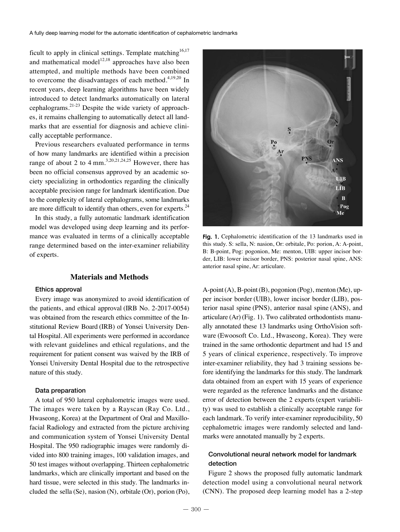ficult to apply in clinical settings. Template matching<sup>16,17</sup> and mathematical model<sup>12,18</sup> approaches have also been attempted, and multiple methods have been combined to overcome the disadvantages of each method. $4,19,20$  In recent years, deep learning algorithms have been widely introduced to detect landmarks automatically on lateral cephalograms.<sup>21-23</sup> Despite the wide variety of approaches, it remains challenging to automatically detect all landmarks that are essential for diagnosis and achieve clinically acceptable performance.

Previous researchers evaluated performance in terms of how many landmarks are identified within a precision range of about 2 to 4 mm.<sup>3,20,21,24,25</sup> However, there has been no official consensus approved by an academic society specializing in orthodontics regarding the clinically acceptable precision range for landmark identification. Due to the complexity of lateral cephalograms, some landmarks are more difficult to identify than others, even for experts. $24$ 

In this study, a fully automatic landmark identification model was developed using deep learning and its performance was evaluated in terms of a clinically acceptable range determined based on the inter-examiner reliability of experts.

#### **Materials and Methods**

#### Ethics approval

Every image was anonymized to avoid identification of the patients, and ethical approval (IRB No. 2-2017-0054) was obtained from the research ethics committee of the Institutional Review Board (IRB) of Yonsei University Dental Hospital. All experiments were performed in accordance with relevant guidelines and ethical regulations, and the requirement for patient consent was waived by the IRB of Yonsei University Dental Hospital due to the retrospective nature of this study.

#### Data preparation

A total of 950 lateral cephalometric images were used. The images were taken by a Rayscan (Ray Co. Ltd., Hwaseong, Korea) at the Department of Oral and Maxillofacial Radiology and extracted from the picture archiving and communication system of Yonsei University Dental Hospital. The 950 radiographic images were randomly divided into 800 training images, 100 validation images, and 50 test images without overlapping. Thirteen cephalometric landmarks, which are clinically important and based on the hard tissue, were selected in this study. The landmarks included the sella (Se), nasion (N), orbitale (Or), porion (Po),



**Fig. 1.** Cephalometric identification of the 13 landmarks used in this study. S: sella, N: nasion, Or: orbitale, Po: porion, A: A-point, B: B-point, Pog: pogonion, Me: menton, UIB: upper incisor border, LIB: lower incisor border, PNS: posterior nasal spine, ANS: anterior nasal spine, Ar: articulare.

 $A$ -point $(A)$ ,  $B$ -point $(B)$ , pogonion  $(Pog)$ , menton  $(Me)$ , upper incisor border (UIB), lower incisor border (LIB), posterior nasal spine (PNS), anterior nasal spine (ANS), and articulare (Ar) (Fig. 1). Two calibrated orthodontists manually annotated these 13 landmarks using OrthoVision software (Ewoosoft Co. Ltd., Hwaseong, Korea). They were trained in the same orthodontic department and had 15 and 5 years of clinical experience, respectively. To improve inter-examiner reliability, they had 3 training sessions before identifying the landmarks for this study. The landmark data obtained from an expert with 15 years of experience were regarded as the reference landmarks and the distance error of detection between the 2 experts (expert variability) was used to establish a clinically acceptable range for each landmark. To verify inter-examiner reproducibility, 50 cephalometric images were randomly selected and landmarks were annotated manually by 2 experts.

# Convolutional neural network model for landmark detection

Figure 2 shows the proposed fully automatic landmark detection model using a convolutional neural network (CNN). The proposed deep learning model has a 2-step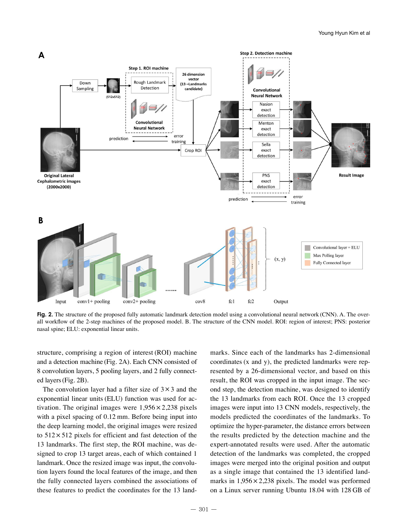

**Fig. 2.** The structure of the proposed fully automatic landmark detection model using a convolutional neural network (CNN). A. The overall workflow of the 2-step machines of the proposed model. B. The structure of the CNN model. ROI: region of interest; PNS: posterior nasal spine; ELU: exponential linear units.

structure, comprising a region of interest (ROI) machine and a detection machine (Fig. 2A). Each CNN consisted of 8 convolution layers, 5 pooling layers, and 2 fully connected layers(Fig. 2B).

The convolution layer had a filter size of  $3 \times 3$  and the exponential linear units (ELU) function was used for activation. The original images were  $1,956 \times 2,238$  pixels with a pixel spacing of 0.12 mm. Before being input into the deep learning model, the original images were resized to  $512 \times 512$  pixels for efficient and fast detection of the 13 landmarks. The first step, the ROI machine, was designed to crop 13 target areas, each of which contained 1 landmark. Once the resized image was input, the convolution layers found the local features of the image, and then the fully connected layers combined the associations of these features to predict the coordinates for the 13 landmarks. Since each of the landmarks has 2-dimensional coordinates (x and y), the predicted landmarks were represented by a 26-dimensional vector, and based on this result, the ROI was cropped in the input image. The second step, the detection machine, was designed to identify the 13 landmarks from each ROI. Once the 13 cropped images were input into 13 CNN models, respectively, the models predicted the coordinates of the landmarks. To optimize the hyper-parameter, the distance errors between the results predicted by the detection machine and the expert-annotated results were used. After the automatic detection of the landmarks was completed, the cropped images were merged into the original position and output as a single image that contained the 13 identified landmarks in  $1,956 \times 2,238$  pixels. The model was performed on a Linux server running Ubuntu 18.04 with 128 GB of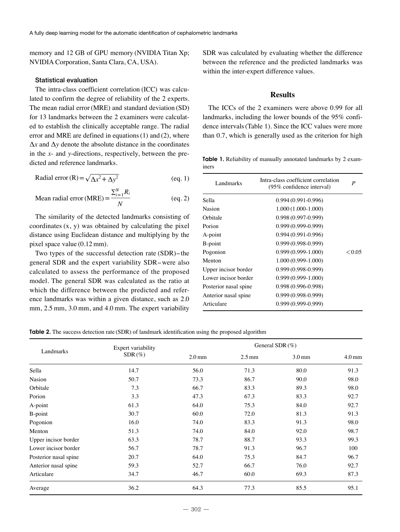memory and 12 GB of GPU memory (NVIDIA Titan Xp; NVIDIA Corporation, Santa Clara, CA, USA).

### Statistical evaluation

The intra-class coefficient correlation (ICC) was calculated to confirm the degree of reliability of the 2 experts. The mean radial error (MRE) and standard deviation (SD) for 13 landmarks between the 2 examiners were calculated to establish the clinically acceptable range. The radial error and MRE are defined in equations (1) and (2), where  $\Delta x$  and  $\Delta y$  denote the absolute distance in the coordinates in the *x*- and *y*-directions, respectively, between the predicted and reference landmarks.

$$
Radial error (R) = \sqrt{\Delta x^2 + \Delta y^2}
$$
 (eq. 1)

Mean radial error (MRE) = 
$$
\frac{\sum_{i=1}^{N} R_i}{N}
$$
 (eq. 2)

The similarity of the detected landmarks consisting of coordinates  $(x, y)$  was obtained by calculating the pixel distance using Euclidean distance and multiplying by the pixel space value (0.12 mm).

Two types of the successful detection rate (SDR)-the general SDR and the expert variability SDR-were also calculated to assess the performance of the proposed model. The general SDR was calculated as the ratio at which the difference between the predicted and reference landmarks was within a given distance, such as 2.0 mm, 2.5 mm, 3.0 mm, and 4.0 mm. The expert variability SDR was calculated by evaluating whether the difference between the reference and the predicted landmarks was within the inter-expert difference values.

# **Results**

The ICCs of the 2 examiners were above 0.99 for all landmarks, including the lower bounds of the 95% confidence intervals(Table 1). Since the ICC values were more than 0.7, which is generally used as the criterion for high

**Table 1.** Reliability of manually annotated landmarks by 2 examiners

| Landmarks             | Intra-class coefficient correlation<br>(95% confidence interval) | P        |
|-----------------------|------------------------------------------------------------------|----------|
| Sella                 | $0.994(0.991-0.996)$                                             |          |
| Nasion                | $1.000(1.000-1.000)$                                             |          |
| Orbitale              | $0.998(0.997-0.999)$                                             |          |
| Porion                | $0.999(0.999 - 0.999)$                                           |          |
| A-point               | $0.994(0.991-0.996)$                                             |          |
| B-point               | $0.999(0.998 - 0.999)$                                           |          |
| Pogonion              | $0.999(0.999 - 1.000)$                                           | $<$ 0.05 |
| Menton                | $1.000(0.999 - 1.000)$                                           |          |
| Upper incisor border  | $0.999(0.998-0.999)$                                             |          |
| Lower incisor border  | $0.999(0.999-1.000)$                                             |          |
| Posterior nasal spine | $0.998(0.996 - 0.998)$                                           |          |
| Anterior nasal spine  | $0.999(0.998 - 0.999)$                                           |          |
| Articulare            | $0.999(0.999-0.999)$                                             |          |

**Table 2.** The success detection rate (SDR) of landmark identification using the proposed algorithm

| Landmarks             | Expert variability<br>$SDR (\%)$ | General SDR $(\%)$ |                  |                   |                   |
|-----------------------|----------------------------------|--------------------|------------------|-------------------|-------------------|
|                       |                                  | 2.0 <sub>mm</sub>  | $2.5 \text{ mm}$ | 3.0 <sub>mm</sub> | 4.0 <sub>mm</sub> |
| Sella                 | 14.7                             | 56.0               | 71.3             | 80.0              | 91.3              |
| Nasion                | 50.7                             | 73.3               | 86.7             | 90.0              | 98.0              |
| Orbitale              | 7.3                              | 66.7               | 83.3             | 89.3              | 98.0              |
| Porion                | 3.3                              | 47.3               | 67.3             | 83.3              | 92.7              |
| A-point               | 61.3                             | 64.0               | 75.3             | 84.0              | 92.7              |
| B-point               | 30.7                             | 60.0               | 72.0             | 81.3              | 91.3              |
| Pogonion              | 16.0                             | 74.0               | 83.3             | 91.3              | 98.0              |
| Menton                | 51.3                             | 74.0               | 84.0             | 92.0              | 98.7              |
| Upper incisor border  | 63.3                             | 78.7               | 88.7             | 93.3              | 99.3              |
| Lower incisor border  | 56.7                             | 78.7               | 91.3             | 96.7              | 100               |
| Posterior nasal spine | 20.7                             | 64.0               | 75.3             | 84.7              | 96.7              |
| Anterior nasal spine  | 59.3                             | 52.7               | 66.7             | 76.0              | 92.7              |
| Articulare            | 34.7                             | 46.7               | 60.0             | 69.3              | 87.3              |
| Average               | 36.2                             | 64.3               | 77.3             | 85.5              | 95.1              |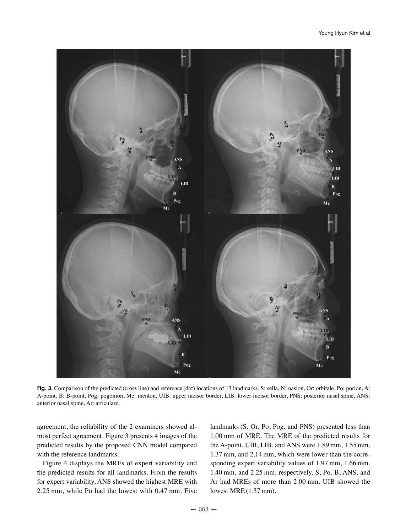

**Fig. 3.** Comparison of the predicted (cross line) and reference (dot) locations of 13 landmarks. S: sella, N: nasion, Or: orbitale, Po: porion, A: A-point, B: B-point, Pog: pogonion, Me: menton, UIB: upper incisor border, LIB: lower incisor border, PNS: posterior nasal spine, ANS: anterior nasal spine, Ar: articulare.

agreement, the reliability of the 2 examiners showed almost perfect agreement. Figure 3 presents 4 images of the predicted results by the proposed CNN model compared with the reference landmarks.

Figure 4 displays the MREs of expert variability and the predicted results for all landmarks. From the results for expert variability, ANS showed the highest MRE with 2.25 mm, while Po had the lowest with 0.47 mm. Five landmarks (S, Or, Po, Pog, and PNS) presented less than 1.00 mm of MRE. The MRE of the predicted results for the A-point, UIB, LIB, and ANS were 1.89 mm, 1.55 mm, 1.37 mm, and 2.14 mm, which were lower than the corresponding expert variability values of 1.97 mm, 1.66 mm, 1.40 mm, and 2.25 mm, respectively. S, Po, B, ANS, and Ar had MREs of more than 2.00 mm. UIB showed the lowest MRE (1.37 mm).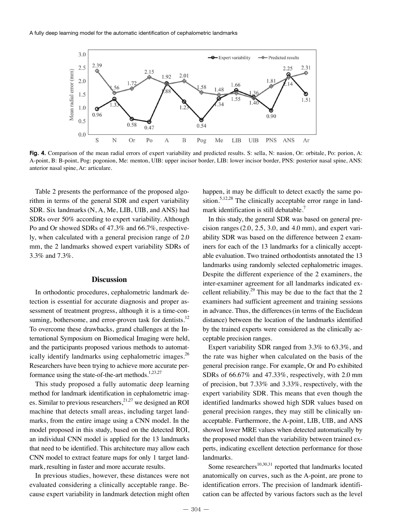

**Fig. 4.** Comparison of the mean radial errors of expert variability and predicted results. S: sella, N: nasion, Or: orbitale, Po: porion, A: A-point, B: B-point, Pog: pogonion, Me: menton, UIB: upper incisor border, LIB: lower incisor border, PNS: posterior nasal spine, ANS: anterior nasal spine, Ar: articulare.

Table 2 presents the performance of the proposed algorithm in terms of the general SDR and expert variability SDR. Six landmarks(N, A, Me, LIB, UIB, and ANS) had SDRs over 50% according to expert variability. Although Po and Or showed SDRs of 47.3% and 66.7%, respectively, when calculated with a general precision range of 2.0 mm, the 2 landmarks showed expert variability SDRs of 3.3% and 7.3%.

# **Discussion**

In orthodontic procedures, cephalometric landmark detection is essential for accurate diagnosis and proper assessment of treatment progress, although it is a time-consuming, bothersome, and error-proven task for dentists.<sup>12</sup> To overcome these drawbacks, grand challenges at the International Symposium on Biomedical Imaging were held, and the participants proposed various methods to automatically identify landmarks using cephalometric images. $^{26}$ Researchers have been trying to achieve more accurate performance using the state-of-the-art methods.<sup>1,23,27</sup>

This study proposed a fully automatic deep learning method for landmark identification in cephalometric images. Similar to previous researchers,<sup>21,27</sup> we designed an ROI machine that detects small areas, including target landmarks, from the entire image using a CNN model. In the model proposed in this study, based on the detected ROI, an individual CNN model is applied for the 13 landmarks that need to be identified. This architecture may allow each CNN model to extract feature maps for only 1 target landmark, resulting in faster and more accurate results.

In previous studies, however, these distances were not evaluated considering a clinically acceptable range. Because expert variability in landmark detection might often

happen, it may be difficult to detect exactly the same position.<sup>5,12,28</sup> The clinically acceptable error range in landmark identification is still debatable.<sup>7</sup>

In this study, the general SDR was based on general precision ranges (2.0, 2.5, 3.0, and 4.0 mm), and expert variability SDR was based on the difference between 2 examiners for each of the 13 landmarks for a clinically acceptable evaluation. Two trained orthodontists annotated the 13 landmarks using randomly selected cephalometric images. Despite the different experience of the 2 examiners, the inter-examiner agreement for all landmarks indicated excellent reliability.<sup>29</sup> This may be due to the fact that the 2 examiners had sufficient agreement and training sessions in advance. Thus, the differences (in terms of the Euclidean distance) between the location of the landmarks identified by the trained experts were considered as the clinically acceptable precision ranges.

Expert variability SDR ranged from 3.3% to 63.3%, and the rate was higher when calculated on the basis of the general precision range. For example, Or and Po exhibited SDRs of 66.67% and 47.33%, respectively, with 2.0 mm of precision, but 7.33% and 3.33%, respectively, with the expert variability SDR. This means that even though the identified landmarks showed high SDR values based on general precision ranges, they may still be clinically unacceptable. Furthermore, the A-point, LIB, UIB, and ANS showed lower MRE values when detected automatically by the proposed model than the variability between trained experts, indicating excellent detection performance for those landmarks.

Some researchers<sup>10,30,31</sup> reported that landmarks located anatomically on curves, such as the A-point, are prone to identification errors. The precision of landmark identification can be affected by various factors such as the level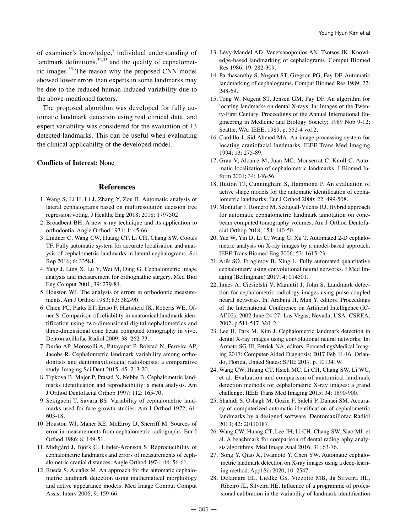of examiner's knowledge, $\frac{7}{1}$  individual understanding of landmark definitions,  $32,33$  and the quality of cephalometric images.33 The reason why the proposed CNN model showed lower errors than experts in some landmarks may be due to the reduced human-induced variability due to the above-mentioned factors.

The proposed algorithm was developed for fully automatic landmark detection using real clinical data, and expert variability was considered for the evaluation of 13 detected landmarks. This can be useful when evaluating the clinical applicability of the developed model.

## **Conflicts of Interest:** None

#### **References**

- 1. Wang S, Li H, Li J, Zhang Y, Zou B. Automatic analysis of lateral cephalograms based on multiresolution decision tree regression voting. J Healthc Eng 2018; 2018: 1797502.
- 2. Broadbent BH. A new x-ray technique and its application to orthodontia. Angle Orthod 1931; 1: 45-66.
- 3. Lindner C, Wang CW, Huang CT, Li CH, Chang SW, Cootes TF. Fully automatic system for accurate localisation and analysis of cephalometric landmarks in lateral cephalograms. Sci Rep 2016; 6: 33581.
- 4. Yang J, Ling X, Lu Y, Wei M, Ding G. Cephalometric image analysis and measurement for orthognathic surgery. Med Biol Eng Comput 2001; 39: 279-84.
- 5. Houston WJ. The analysis of errors in orthodontic measurements. Am J Orthod 1983; 83: 382-90.
- 6. Chien PC, Parks ET, Eraso F, Hartsfield JK, Roberts WE, Ofner S. Comparison of reliability in anatomical landmark identification using two-dimensional digital cephalometrics and three-dimensional cone beam computed tomography in vivo. Dentomaxillofac Radiol 2009; 38: 262-73.
- 7. Durão AP, Morosolli A, Pittayapat P, Bolstad N, Ferreira AP, Jacobs R. Cephalometric landmark variability among orthodontists and dentomaxillofacial radiologists: a comparative study. Imaging Sci Dent 2015; 45: 213-20.
- 8. Trpkova B, Major P, Prasad N, Nebbe B. Cephalometric landmarks identification and reproducibility: a meta analysis. Am J Orthod Dentofacial Orthop 1997; 112: 165-70.
- 9. Sekiguchi T, Savara BS. Variability of cephalometric landmarks used for face growth studies. Am J Orthod 1972; 61: 603-18.
- 10. Houston WJ, Maher RE, McElroy D, Sherriff M. Sources of error in measurements from cephalometric radiographs. Eur J Orthod 1986; 8: 149-51.
- 11. Midtgård J, Björk G, Linder-Aronson S. Reproducibility of cephalometric landmarks and errors of measurements of cephalometric cranial distances. Angle Orthod 1974; 44: 56-61.
- 12. Rueda S, Alcañiz M. An approach for the automatic cephalometric landmark detection using mathematical morphology and active appearance models. Med Image Comput Comput Assist Interv 2006; 9: 159-66.
- 13. Lévy-Mandel AD, Venetsanopoulos AN, Tsotsos JK. Knowledge-based landmarking of cephalograms. Comput Biomed Res 1986; 19: 282-309.
- 14. Parthasarathy S, Nugent ST, Gregson PG, Fay DF. Automatic landmarking of cephalograms. Comput Biomed Res 1989; 22: 248-69.
- 15. Tong W, Nugent ST, Jensen GM, Fay DF. An algorithm for locating landmarks on dental X-rays. In: Images of the Twenty-First Century. Proceedings of the Annual International Engineering in Medicine and Biology Society; 1989 Nob 9-12; Seattle, WA: IEEE; 1989. p. 552-4 vol.2.
- 16. Cardillo J, Sid-Ahmed MA. An image processing system for locating craniofacial landmarks. IEEE Trans Med Imaging 1994; 13: 275-89.
- 17. Grau V, Alcaniz M, Juan MC, Monserrat C, Knoll C. Automatic localization of cephalometric landmarks. J Biomed Inform 2001; 34: 146-56.
- 18. Hutton TJ, Cunningham S, Hammond P. An evaluation of active shape models for the automatic identification of cephalometric landmarks. Eur J Orthod 2000; 22: 499-508.
- 19. Montúfar J, Romero M, Scougall-Vilchis RJ. Hybrid approach for automatic cephalometric landmark annotation on conebeam computed tomography volumes. Am J Orthod Dentofacial Orthop 2018; 154: 140-50.
- 20. Yue W, Yin D, Li C, Wang G, Xu T. Automated 2-D cephalometric analysis on X-ray images by a model-based approach. IEEE Trans Biomed Eng 2006; 53: 1615-23.
- 21. Arik SÖ, Ibragimov B, Xing L. Fully automated quantitative cephalometry using convolutional neural networks. J Med Imaging (Bellingham) 2017; 4: 014501.
- 22. Innes A, Ciesielski V, Mamutil J, John S. Landmark detection for cephalometric radiology images using pulse coupled neural networks. In: Arabnia H, Mun Y, editors. Proceedings of the International Conference on Artificial Intelligence (IC-AI'02); 2002 June 24-27; Las Vegas, Nevada, USA: CSREA; 2002. p.511-517. Vol. 2.
- 23. Lee H, Park M, Kim J. Cephalometric landmark detection in dental X-ray images using convolutional neural networks. In: Armato SG III, Petrick NA, editors. ProceedingsMedical Imaging 2017: Computer-Aided Diagnosis; 2017 Feb 11-16; Orlando, Florida, United States: SPIE; 2017. p. 101341W
- 24. Wang CW, Huang CT, Hsieh MC, Li CH, Chang SW, Li WC, et al. Evaluation and comparison of anatomical landmark detection methods for cephalometric X-ray images: a grand challenge. IEEE Trans Med Imaging 2015; 34: 1890-900.
- 25. Shahidi S, Oshagh M, Gozin F, Salehi P, Danaei SM. Accuracy of computerized automatic identification of cephalometric landmarks by a designed software. Dentomaxillofac Radiol 2013; 42: 20110187.
- 26. Wang CW, Huang CT, Lee JH, Li CH, Chang SW, Siao MJ, et al. A benchmark for comparison of dental radiography analysis algorithms. Med Image Anal 2016; 31: 63-76.
- 27. Song Y, Qiao X, Iwamoto Y, Chen YW. Automatic cephalometric landmark detection on X-ray images using a deep-learning method. Appl Sci 2020; 10: 2547.
- 28. Delamare EL, Liedke GS, Vizzotto MB, da Silveira HL, Ribeiro JL, Silveira HE. Influence of a programme of professional calibration in the variability of landmark identification